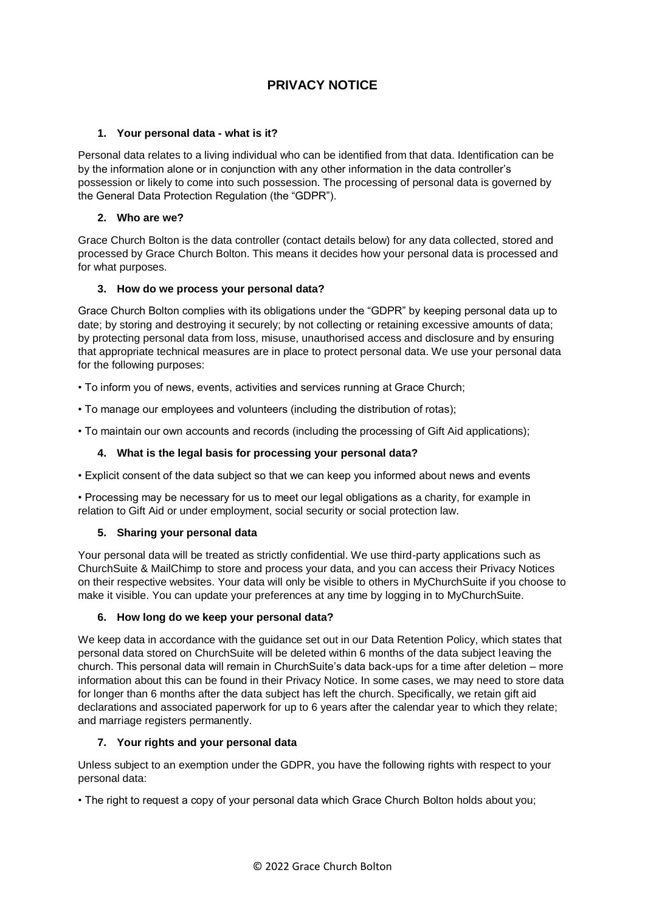# **PRIVACY NOTICE**

# **1. Your personal data - what is it?**

Personal data relates to a living individual who can be identified from that data. Identification can be by the information alone or in conjunction with any other information in the data controller's possession or likely to come into such possession. The processing of personal data is governed by the General Data Protection Regulation (the "GDPR").

## **2. Who are we?**

Grace Church Bolton is the data controller (contact details below) for any data collected, stored and processed by Grace Church Bolton. This means it decides how your personal data is processed and for what purposes.

# **3. How do we process your personal data?**

Grace Church Bolton complies with its obligations under the "GDPR" by keeping personal data up to date; by storing and destroying it securely; by not collecting or retaining excessive amounts of data; by protecting personal data from loss, misuse, unauthorised access and disclosure and by ensuring that appropriate technical measures are in place to protect personal data. We use your personal data for the following purposes:

• To inform you of news, events, activities and services running at Grace Church;

• To manage our employees and volunteers (including the distribution of rotas);

• To maintain our own accounts and records (including the processing of Gift Aid applications);

# **4. What is the legal basis for processing your personal data?**

• Explicit consent of the data subject so that we can keep you informed about news and events

• Processing may be necessary for us to meet our legal obligations as a charity, for example in relation to Gift Aid or under employment, social security or social protection law.

### **5. Sharing your personal data**

Your personal data will be treated as strictly confidential. We use third-party applications such as ChurchSuite & MailChimp to store and process your data, and you can access their Privacy Notices on their respective websites. Your data will only be visible to others in MyChurchSuite if you choose to make it visible. You can update your preferences at any time by logging in to MyChurchSuite.

### **6. How long do we keep your personal data?**

We keep data in accordance with the guidance set out in our Data Retention Policy, which states that personal data stored on ChurchSuite will be deleted within 6 months of the data subject leaving the church. This personal data will remain in ChurchSuite's data back-ups for a time after deletion – more information about this can be found in their Privacy Notice. In some cases, we may need to store data for longer than 6 months after the data subject has left the church. Specifically, we retain gift aid declarations and associated paperwork for up to 6 years after the calendar year to which they relate; and marriage registers permanently.

### **7. Your rights and your personal data**

Unless subject to an exemption under the GDPR, you have the following rights with respect to your personal data:

• The right to request a copy of your personal data which Grace Church Bolton holds about you;